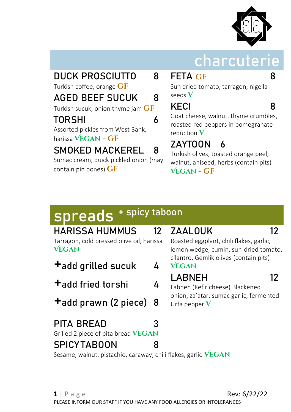

## **charcuterie**

## DUCK PROSCIUTTO 8

Turkish coffee, orange **GF** 

#### AGED BEEF SUCUK 8

Turkish sucuk, onion thyme jam **gf**

#### TORSHI 6

Assorted pickles from West Bank, harissa **Vegan + gf**

#### SMOKED MACKEREL 8

Sumac cream, quick pickled onion (may contain pin bones) **gf**

#### **FETA GF** 8

Sun dried tomato, tarragon, nigella seeds **V**

## KECI 8

Goat cheese, walnut, thyme crumbles, roasted red peppers in pomegranate reduction **V**

## ZAYTOON 6

Turkish olives, toasted orange peel, walnut, aniseed, herbs (contain pits) **Vegan + gf**

# **spreads + spicy taboon**

| <b>HARISSA HUMMUS</b><br>Tarragon, cold pressed olive oil, harissa<br><b>VEGAN</b> | 12 | ZAALOUK<br>Roasted eggplant, chili flakes, garlic,<br>lemon wedge, cumin, sun-dried tomato,                   | 12 |  |
|------------------------------------------------------------------------------------|----|---------------------------------------------------------------------------------------------------------------|----|--|
| +add grilled sucuk<br>4                                                            |    | cilantro, Gemlik olives (contain pits)<br><b>VEGAN</b>                                                        |    |  |
| <b>+</b> add fried torshi<br>4                                                     |    | LABNEH<br>12<br>Labneh (Kefir cheese) Blackened<br>onion, za'atar, sumac garlic, fermented<br>Urfa pepper $V$ |    |  |
| <b>+</b> add prawn (2 piece) 8                                                     |    |                                                                                                               |    |  |
| <b>PITA BREAD</b><br>Grilled 2 piece of pita bread VEGAN                           |    |                                                                                                               |    |  |

Sesame, walnut, pistachio, caraway, chili flakes, garlic **VEGAN** 

SPICY TABOON 8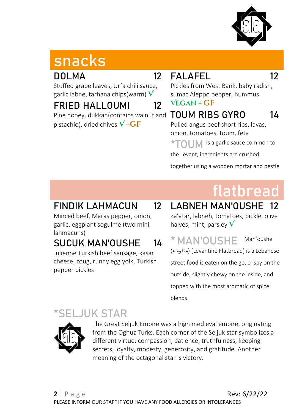

# **snacks**

#### DOLMA 12

Stuffed grape leaves, Urfa chili sauce, garlic labne, tarhana chips(warm) **V**

#### FRIED HALLOUMI 12

Pine honey, dukkah(contains walnut and pistachio), dried chives  $V$  + $GF$ 

## FALAFEL 12

Pickles from West Bank, baby radish, sumac Aleppo pepper, hummus

#### **Vegan + gf**

## TOUM RIBS GYRO 14

Pulled angus beef short ribs, lavas, onion, tomatoes, toum, feta **TOUM** is a garlic sauce common to

the Levant, ingredients are crushed

together using a wooden mortar and pestle

# **flatbread**

#### FINDIK LAHMACUN 12

Minced beef, Maras pepper, onion, garlic, eggplant sogulme (two mini lahmacuns)

#### SUCUK MAN'OUSHE 14

Julienne Turkish beef sausage, kasar cheese, zoug, runny egg yolk, Turkish pepper pickles

#### LABNEH MAN'OUSHE Za'atar, labneh, tomatoes, pickle, olive halves, mint, parsley **V**

**\* MAN'OUSHE** Man'oushe ( منقوشه) (Levantine Flatbread) is a Lebanese street food is eaten on the go, crispy on the outside, slightly chewy on the inside, and topped with the most aromatic of spice blends.

### **JUK STAR**



The Great Seljuk Empire was a high medieval empire, originating from the Oghuz Turks. Each corner of the Seljuk star symbolizes a different virtue: compassion, patience, truthfulness, keeping secrets, loyalty, modesty, generosity, and gratitude. Another meaning of the octagonal star is victory.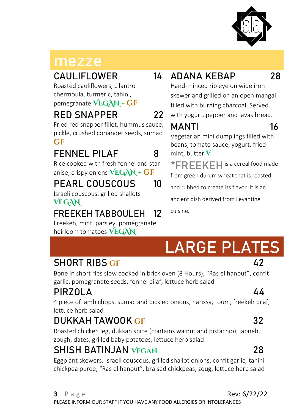

## **mezze**

#### CAULIFLOWER 14

Roasted cauliflowers, cilantro chermoula, turmeric, tahini,

pomegranate **VEGAN + gf**

#### RED SNAPPER 22

Fried red snapper fillet, hummus sauce, pickle, crushed coriander seeds, sumac **gf**

## FENNEL PILAF 8

Rice cooked with fresh fennel and star anise, crispy onions **VEGAN + gf**

### PEARL COUSCOUS 10

Israeli couscous, grilled shallots **VEGAN**

#### FREEKEH TABBOULEH 12

Freekeh, mint, parsley, pomegranate, heirloom tomatoes **VEGAN**

## ADANA KEBAP 28

Hand-minced rib eye on wide iron skewer and grilled on an open mangal filled with burning charcoal. Served with yogurt, pepper and lavas bread.

### $M\Delta N$ TI 16

Vegetarian mini dumplings filled with beans, tomato sauce, yogurt, fried mint, butter  $\mathbf V$ 

**\*FREEKEH**is a cereal food made from green durum wheat that is roasted

and rubbed to create its flavor. It is an

ancient dish derived from Levantine

cuisine.

# **LARGE PLATES**

#### SHORT RIBS GF 42

Bone in short ribs slow cooked in brick oven (8 Hours), "Ras el hanout", confit garlic, pomegranate seeds, fennel pilaf, lettuce herb salad

### PIRZOLA 44

4 piece of lamb chops, sumac and pickled onions, harissa, toum, freekeh pilaf, lettuce herb salad

## DUKKAH TAWOOK **gf** 32

Roasted chicken leg, dukkah spice (contains walnut and pistachio), labneh, zough, dates, grilled baby potatoes, lettuce herb salad

#### SHISH BATINJAN **Vegan** 28

Eggplant skewers, Israeli couscous, grilled shallot onions, confit garlic, tahini chickpea puree, "Ras el hanout", braised chickpeas, zoug, lettuce herb salad